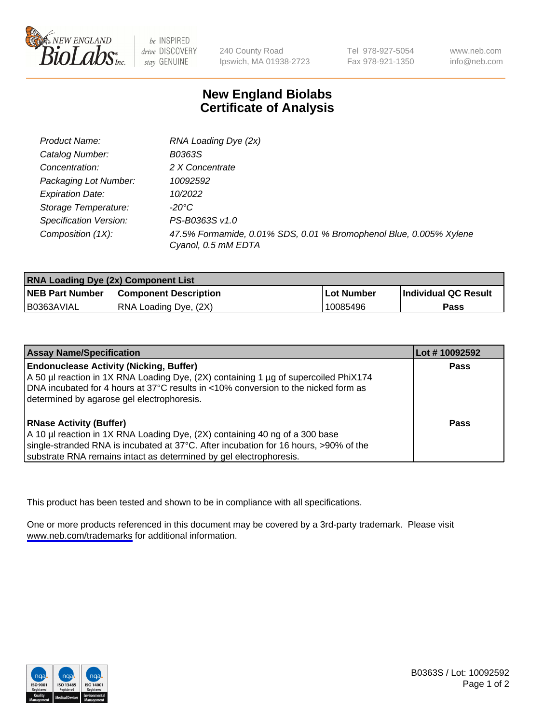

be INSPIRED drive DISCOVERY stay GENUINE

240 County Road Ipswich, MA 01938-2723

Tel 978-927-5054 Fax 978-921-1350

www.neb.com info@neb.com

## **New England Biolabs Certificate of Analysis**

| Product Name:           | RNA Loading Dye (2x)                                                                      |
|-------------------------|-------------------------------------------------------------------------------------------|
| Catalog Number:         | B0363S                                                                                    |
| Concentration:          | 2 X Concentrate                                                                           |
| Packaging Lot Number:   | 10092592                                                                                  |
| <b>Expiration Date:</b> | 10/2022                                                                                   |
| Storage Temperature:    | -20°C                                                                                     |
| Specification Version:  | PS-B0363S v1.0                                                                            |
| Composition (1X):       | 47.5% Formamide, 0.01% SDS, 0.01 % Bromophenol Blue, 0.005% Xylene<br>Cyanol, 0.5 mM EDTA |

| <b>RNA Loading Dye (2x) Component List</b> |                              |              |                      |  |
|--------------------------------------------|------------------------------|--------------|----------------------|--|
| <b>NEB Part Number</b>                     | <b>Component Description</b> | . Lot Number | Individual QC Result |  |
| B0363AVIAL                                 | RNA Loading Dye, (2X)        | 10085496     | <b>Pass</b>          |  |

| <b>Assay Name/Specification</b>                                                                                                                                                                                                                                             | Lot #10092592 |
|-----------------------------------------------------------------------------------------------------------------------------------------------------------------------------------------------------------------------------------------------------------------------------|---------------|
| <b>Endonuclease Activity (Nicking, Buffer)</b><br>A 50 µl reaction in 1X RNA Loading Dye, (2X) containing 1 µg of supercoiled PhiX174<br>DNA incubated for 4 hours at 37°C results in <10% conversion to the nicked form as<br>determined by agarose gel electrophoresis.   | <b>Pass</b>   |
| <b>RNase Activity (Buffer)</b><br>A 10 µl reaction in 1X RNA Loading Dye, (2X) containing 40 ng of a 300 base<br>single-stranded RNA is incubated at 37°C. After incubation for 16 hours, >90% of the<br>substrate RNA remains intact as determined by gel electrophoresis. | Pass          |

This product has been tested and shown to be in compliance with all specifications.

One or more products referenced in this document may be covered by a 3rd-party trademark. Please visit <www.neb.com/trademarks>for additional information.